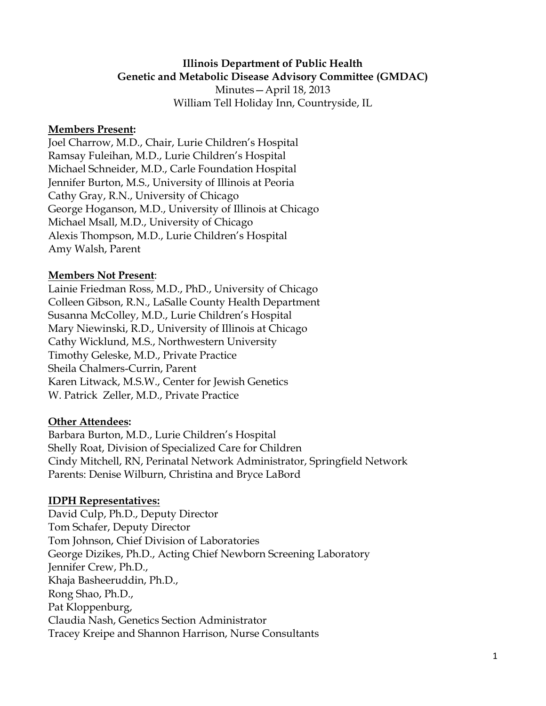#### **Illinois Department of Public Health Genetic and Metabolic Disease Advisory Committee (GMDAC)**

Minutes—April 18, 2013 William Tell Holiday Inn, Countryside, IL

#### **Members Present:**

Joel Charrow, M.D., Chair, Lurie Children's Hospital Ramsay Fuleihan, M.D., Lurie Children's Hospital Michael Schneider, M.D., Carle Foundation Hospital Jennifer Burton, M.S., University of Illinois at Peoria Cathy Gray, R.N., University of Chicago George Hoganson, M.D., University of Illinois at Chicago Michael Msall, M.D., University of Chicago Alexis Thompson, M.D., Lurie Children's Hospital Amy Walsh, Parent

#### **Members Not Present**:

Lainie Friedman Ross, M.D., PhD., University of Chicago Colleen Gibson, R.N., LaSalle County Health Department Susanna McColley, M.D., Lurie Children's Hospital Mary Niewinski, R.D., University of Illinois at Chicago Cathy Wicklund, M.S., Northwestern University Timothy Geleske, M.D., Private Practice Sheila Chalmers-Currin, Parent Karen Litwack, M.S.W., Center for Jewish Genetics W. Patrick Zeller, M.D., Private Practice

#### **Other Attendees:**

Barbara Burton, M.D., Lurie Children's Hospital Shelly Roat, Division of Specialized Care for Children Cindy Mitchell, RN, Perinatal Network Administrator, Springfield Network Parents: Denise Wilburn, Christina and Bryce LaBord

#### **IDPH Representatives:**

David Culp, Ph.D., Deputy Director Tom Schafer, Deputy Director Tom Johnson, Chief Division of Laboratories George Dizikes, Ph.D., Acting Chief Newborn Screening Laboratory Jennifer Crew, Ph.D., Khaja Basheeruddin, Ph.D., Rong Shao, Ph.D., Pat Kloppenburg, Claudia Nash, Genetics Section Administrator Tracey Kreipe and Shannon Harrison, Nurse Consultants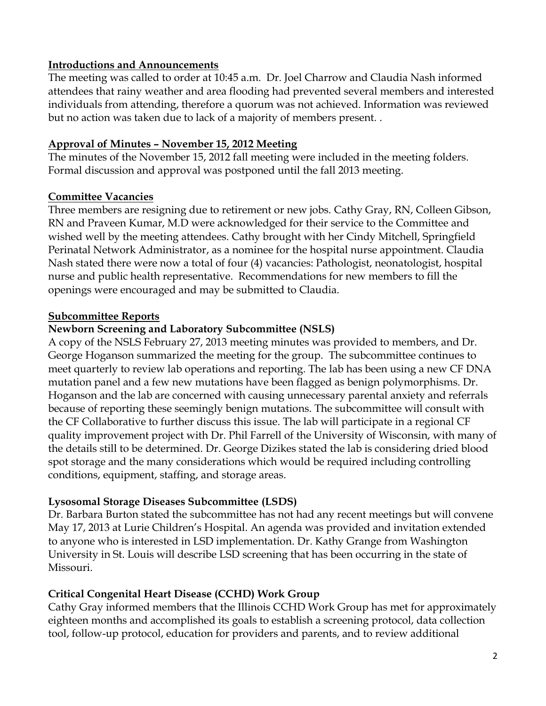#### **Introductions and Announcements**

The meeting was called to order at 10:45 a.m. Dr. Joel Charrow and Claudia Nash informed attendees that rainy weather and area flooding had prevented several members and interested individuals from attending, therefore a quorum was not achieved. Information was reviewed but no action was taken due to lack of a majority of members present. .

#### **Approval of Minutes – November 15, 2012 Meeting**

The minutes of the November 15, 2012 fall meeting were included in the meeting folders. Formal discussion and approval was postponed until the fall 2013 meeting.

### **Committee Vacancies**

Three members are resigning due to retirement or new jobs. Cathy Gray, RN, Colleen Gibson, RN and Praveen Kumar, M.D were acknowledged for their service to the Committee and wished well by the meeting attendees. Cathy brought with her Cindy Mitchell, Springfield Perinatal Network Administrator, as a nominee for the hospital nurse appointment. Claudia Nash stated there were now a total of four (4) vacancies: Pathologist, neonatologist, hospital nurse and public health representative. Recommendations for new members to fill the openings were encouraged and may be submitted to Claudia.

#### **Subcommittee Reports**

### **Newborn Screening and Laboratory Subcommittee (NSLS)**

A copy of the NSLS February 27, 2013 meeting minutes was provided to members, and Dr. George Hoganson summarized the meeting for the group. The subcommittee continues to meet quarterly to review lab operations and reporting. The lab has been using a new CF DNA mutation panel and a few new mutations have been flagged as benign polymorphisms. Dr. Hoganson and the lab are concerned with causing unnecessary parental anxiety and referrals because of reporting these seemingly benign mutations. The subcommittee will consult with the CF Collaborative to further discuss this issue. The lab will participate in a regional CF quality improvement project with Dr. Phil Farrell of the University of Wisconsin, with many of the details still to be determined. Dr. George Dizikes stated the lab is considering dried blood spot storage and the many considerations which would be required including controlling conditions, equipment, staffing, and storage areas.

### **Lysosomal Storage Diseases Subcommittee (LSDS)**

Dr. Barbara Burton stated the subcommittee has not had any recent meetings but will convene May 17, 2013 at Lurie Children's Hospital. An agenda was provided and invitation extended to anyone who is interested in LSD implementation. Dr. Kathy Grange from Washington University in St. Louis will describe LSD screening that has been occurring in the state of Missouri.

### **Critical Congenital Heart Disease (CCHD) Work Group**

Cathy Gray informed members that the Illinois CCHD Work Group has met for approximately eighteen months and accomplished its goals to establish a screening protocol, data collection tool, follow-up protocol, education for providers and parents, and to review additional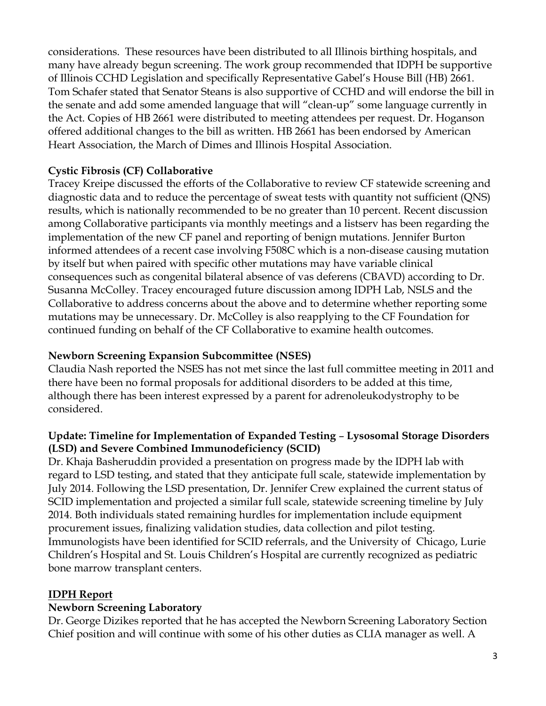considerations. These resources have been distributed to all Illinois birthing hospitals, and many have already begun screening. The work group recommended that IDPH be supportive of Illinois CCHD Legislation and specifically Representative Gabel's House Bill (HB) 2661. Tom Schafer stated that Senator Steans is also supportive of CCHD and will endorse the bill in the senate and add some amended language that will "clean-up" some language currently in the Act. Copies of HB 2661 were distributed to meeting attendees per request. Dr. Hoganson offered additional changes to the bill as written. HB 2661 has been endorsed by American Heart Association, the March of Dimes and Illinois Hospital Association.

## **Cystic Fibrosis (CF) Collaborative**

Tracey Kreipe discussed the efforts of the Collaborative to review CF statewide screening and diagnostic data and to reduce the percentage of sweat tests with quantity not sufficient (QNS) results, which is nationally recommended to be no greater than 10 percent. Recent discussion among Collaborative participants via monthly meetings and a listserv has been regarding the implementation of the new CF panel and reporting of benign mutations. Jennifer Burton informed attendees of a recent case involving F508C which is a non-disease causing mutation by itself but when paired with specific other mutations may have variable clinical consequences such as congenital bilateral absence of vas deferens (CBAVD) according to Dr. Susanna McColley. Tracey encouraged future discussion among IDPH Lab, NSLS and the Collaborative to address concerns about the above and to determine whether reporting some mutations may be unnecessary. Dr. McColley is also reapplying to the CF Foundation for continued funding on behalf of the CF Collaborative to examine health outcomes.

## **Newborn Screening Expansion Subcommittee (NSES)**

Claudia Nash reported the NSES has not met since the last full committee meeting in 2011 and there have been no formal proposals for additional disorders to be added at this time, although there has been interest expressed by a parent for adrenoleukodystrophy to be considered.

## **Update: Timeline for Implementation of Expanded Testing** – **Lysosomal Storage Disorders (LSD) and Severe Combined Immunodeficiency (SCID)**

Dr. Khaja Basheruddin provided a presentation on progress made by the IDPH lab with regard to LSD testing, and stated that they anticipate full scale, statewide implementation by July 2014. Following the LSD presentation, Dr. Jennifer Crew explained the current status of SCID implementation and projected a similar full scale, statewide screening timeline by July 2014. Both individuals stated remaining hurdles for implementation include equipment procurement issues, finalizing validation studies, data collection and pilot testing. Immunologists have been identified for SCID referrals, and the University of Chicago, Lurie Children's Hospital and St. Louis Children's Hospital are currently recognized as pediatric bone marrow transplant centers.

## **IDPH Report**

## **Newborn Screening Laboratory**

Dr. George Dizikes reported that he has accepted the Newborn Screening Laboratory Section Chief position and will continue with some of his other duties as CLIA manager as well. A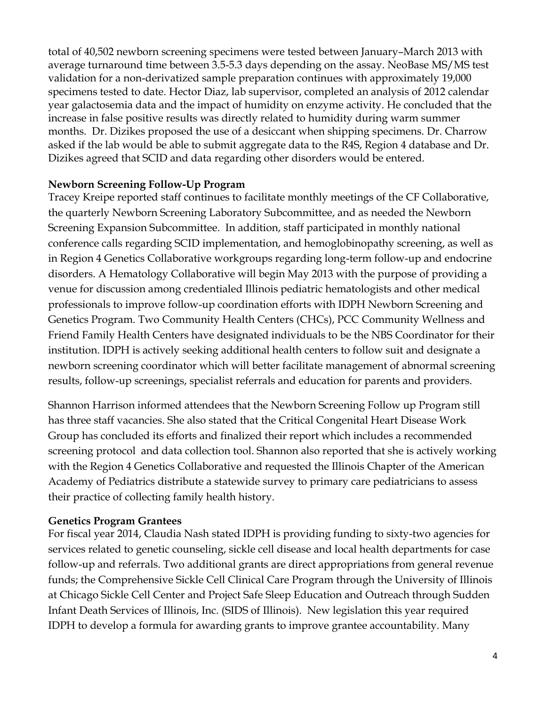total of 40,502 newborn screening specimens were tested between January–March 2013 with average turnaround time between 3.5-5.3 days depending on the assay. NeoBase MS/MS test validation for a non-derivatized sample preparation continues with approximately 19,000 specimens tested to date. Hector Diaz, lab supervisor, completed an analysis of 2012 calendar year galactosemia data and the impact of humidity on enzyme activity. He concluded that the increase in false positive results was directly related to humidity during warm summer months. Dr. Dizikes proposed the use of a desiccant when shipping specimens. Dr. Charrow asked if the lab would be able to submit aggregate data to the R4S, Region 4 database and Dr. Dizikes agreed that SCID and data regarding other disorders would be entered.

### **Newborn Screening Follow-Up Program**

Tracey Kreipe reported staff continues to facilitate monthly meetings of the CF Collaborative, the quarterly Newborn Screening Laboratory Subcommittee, and as needed the Newborn Screening Expansion Subcommittee. In addition, staff participated in monthly national conference calls regarding SCID implementation, and hemoglobinopathy screening, as well as in Region 4 Genetics Collaborative workgroups regarding long-term follow-up and endocrine disorders. A Hematology Collaborative will begin May 2013 with the purpose of providing a venue for discussion among credentialed Illinois pediatric hematologists and other medical professionals to improve follow-up coordination efforts with IDPH Newborn Screening and Genetics Program. Two Community Health Centers (CHCs), PCC Community Wellness and Friend Family Health Centers have designated individuals to be the NBS Coordinator for their institution. IDPH is actively seeking additional health centers to follow suit and designate a newborn screening coordinator which will better facilitate management of abnormal screening results, follow-up screenings, specialist referrals and education for parents and providers.

Shannon Harrison informed attendees that the Newborn Screening Follow up Program still has three staff vacancies. She also stated that the Critical Congenital Heart Disease Work Group has concluded its efforts and finalized their report which includes a recommended screening protocol and data collection tool. Shannon also reported that she is actively working with the Region 4 Genetics Collaborative and requested the Illinois Chapter of the American Academy of Pediatrics distribute a statewide survey to primary care pediatricians to assess their practice of collecting family health history.

### **Genetics Program Grantees**

For fiscal year 2014, Claudia Nash stated IDPH is providing funding to sixty-two agencies for services related to genetic counseling, sickle cell disease and local health departments for case follow-up and referrals. Two additional grants are direct appropriations from general revenue funds; the Comprehensive Sickle Cell Clinical Care Program through the University of Illinois at Chicago Sickle Cell Center and Project Safe Sleep Education and Outreach through Sudden Infant Death Services of Illinois, Inc. (SIDS of Illinois). New legislation this year required IDPH to develop a formula for awarding grants to improve grantee accountability. Many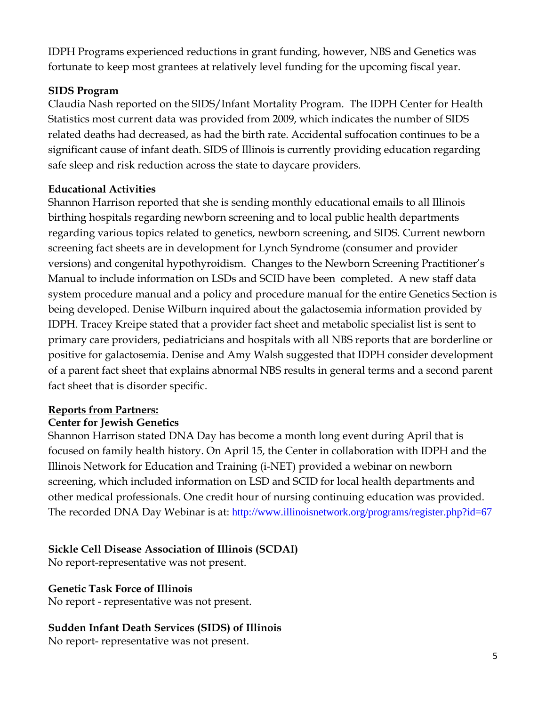IDPH Programs experienced reductions in grant funding, however, NBS and Genetics was fortunate to keep most grantees at relatively level funding for the upcoming fiscal year.

## **SIDS Program**

Claudia Nash reported on the SIDS/Infant Mortality Program. The IDPH Center for Health Statistics most current data was provided from 2009, which indicates the number of SIDS related deaths had decreased, as had the birth rate. Accidental suffocation continues to be a significant cause of infant death. SIDS of Illinois is currently providing education regarding safe sleep and risk reduction across the state to daycare providers.

## **Educational Activities**

Shannon Harrison reported that she is sending monthly educational emails to all Illinois birthing hospitals regarding newborn screening and to local public health departments regarding various topics related to genetics, newborn screening, and SIDS. Current newborn screening fact sheets are in development for Lynch Syndrome (consumer and provider versions) and congenital hypothyroidism. Changes to the Newborn Screening Practitioner's Manual to include information on LSDs and SCID have been completed. A new staff data system procedure manual and a policy and procedure manual for the entire Genetics Section is being developed. Denise Wilburn inquired about the galactosemia information provided by IDPH. Tracey Kreipe stated that a provider fact sheet and metabolic specialist list is sent to primary care providers, pediatricians and hospitals with all NBS reports that are borderline or positive for galactosemia. Denise and Amy Walsh suggested that IDPH consider development of a parent fact sheet that explains abnormal NBS results in general terms and a second parent fact sheet that is disorder specific.

## **Reports from Partners:**

## **Center for Jewish Genetics**

Shannon Harrison stated DNA Day has become a month long event during April that is focused on family health history. On April 15, the Center in collaboration with IDPH and the Illinois Network for Education and Training (i-NET) provided a webinar on newborn screening, which included information on LSD and SCID for local health departments and other medical professionals. One credit hour of nursing continuing education was provided. The recorded DNA Day Webinar is at: <http://www.illinoisnetwork.org/programs/register.php?id=67>

# **Sickle Cell Disease Association of Illinois (SCDAI)**

No report-representative was not present.

## **Genetic Task Force of Illinois**

No report - representative was not present.

## **Sudden Infant Death Services (SIDS) of Illinois**

No report- representative was not present.